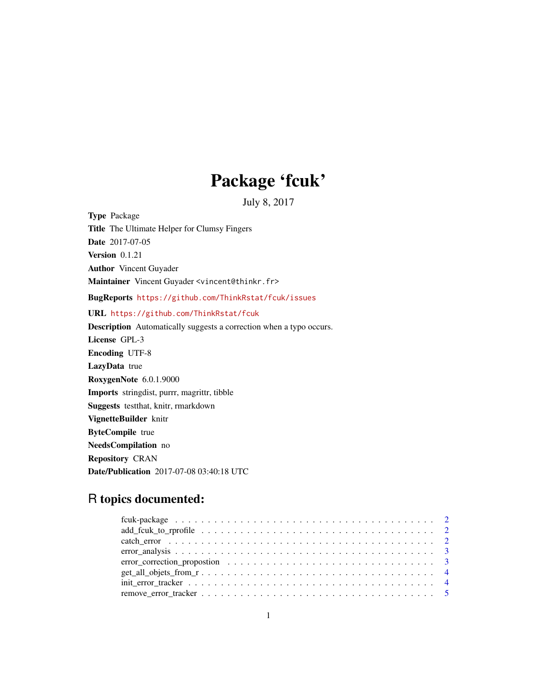# Package 'fcuk'

July 8, 2017

<span id="page-0-0"></span>Type Package Title The Ultimate Helper for Clumsy Fingers Date 2017-07-05 Version 0.1.21 Author Vincent Guyader Maintainer Vincent Guyader <vincent@thinkr.fr> BugReports <https://github.com/ThinkRstat/fcuk/issues> URL <https://github.com/ThinkRstat/fcuk> Description Automatically suggests a correction when a typo occurs. License GPL-3 Encoding UTF-8 LazyData true RoxygenNote 6.0.1.9000 Imports stringdist, purrr, magrittr, tibble Suggests testthat, knitr, rmarkdown VignetteBuilder knitr ByteCompile true NeedsCompilation no Repository CRAN Date/Publication 2017-07-08 03:40:18 UTC

# R topics documented:

| $\text{init\_error\_tracker} \dots \dots \dots \dots \dots \dots \dots \dots \dots \dots \dots \dots \dots \dots \dots$ |  |
|-------------------------------------------------------------------------------------------------------------------------|--|
|                                                                                                                         |  |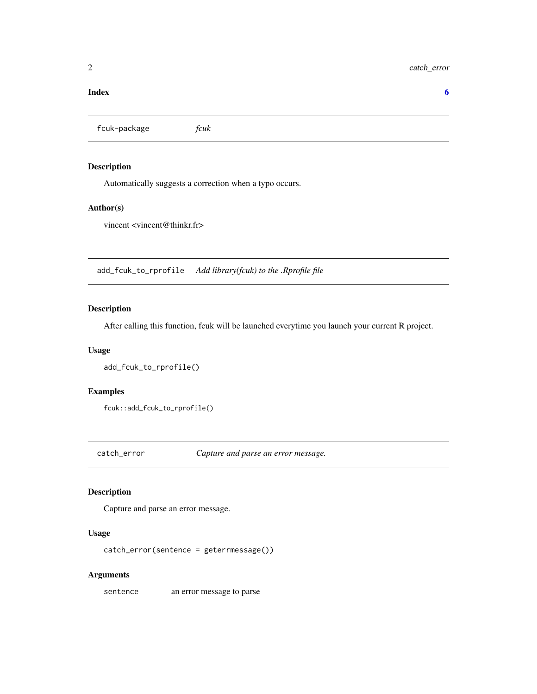#### <span id="page-1-0"></span>**Index** [6](#page-5-0) **6**

fcuk-package *fcuk*

#### Description

Automatically suggests a correction when a typo occurs.

#### Author(s)

vincent <vincent@thinkr.fr>

add\_fcuk\_to\_rprofile *Add library(fcuk) to the .Rprofile file*

## Description

After calling this function, fcuk will be launched everytime you launch your current R project.

#### Usage

```
add_fcuk_to_rprofile()
```
#### Examples

fcuk::add\_fcuk\_to\_rprofile()

catch\_error *Capture and parse an error message.*

# Description

Capture and parse an error message.

#### Usage

```
catch_error(sentence = geterrmessage())
```
#### Arguments

sentence an error message to parse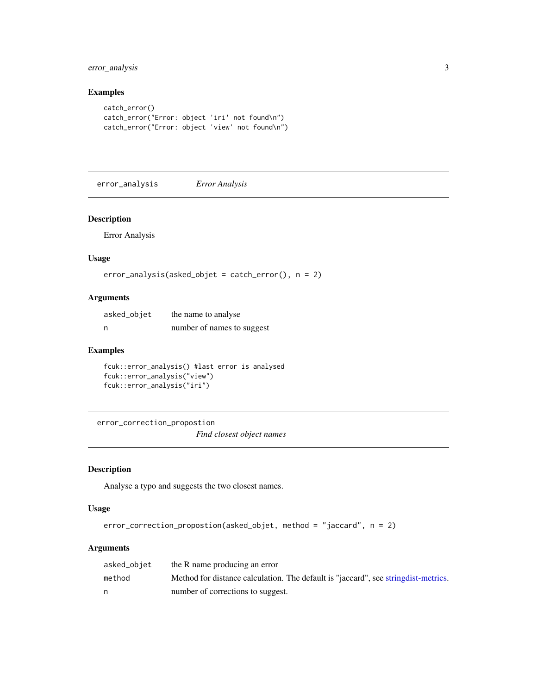#### <span id="page-2-0"></span>error\_analysis 3

#### Examples

```
catch_error()
catch_error("Error: object 'iri' not found\n")
catch_error("Error: object 'view' not found\n")
```
error\_analysis *Error Analysis*

#### Description

Error Analysis

#### Usage

```
error_analysis(asked_objet = catch_error(), n = 2)
```
#### Arguments

| asked_objet | the name to analyse        |
|-------------|----------------------------|
| n           | number of names to suggest |

#### Examples

```
fcuk::error_analysis() #last error is analysed
fcuk::error_analysis("view")
fcuk::error_analysis("iri")
```
error\_correction\_propostion *Find closest object names*

#### Description

Analyse a typo and suggests the two closest names.

#### Usage

```
error_correction_propostion(asked_objet, method = "jaccard", n = 2)
```
#### Arguments

| asked_objet | the R name producing an error                                                       |
|-------------|-------------------------------------------------------------------------------------|
| method      | Method for distance calculation. The default is "jaccard", see string dist-metrics. |
| n           | number of corrections to suggest.                                                   |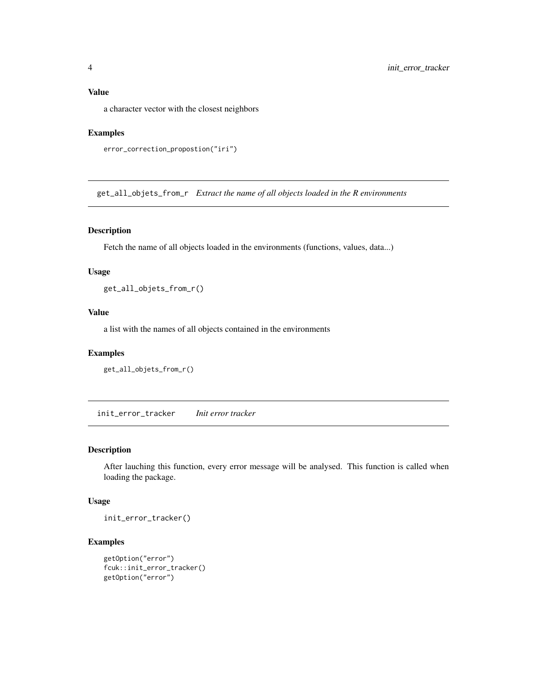<span id="page-3-0"></span>a character vector with the closest neighbors

#### Examples

```
error_correction_propostion("iri")
```
get\_all\_objets\_from\_r *Extract the name of all objects loaded in the R environments*

#### Description

Fetch the name of all objects loaded in the environments (functions, values, data...)

#### Usage

get\_all\_objets\_from\_r()

#### Value

a list with the names of all objects contained in the environments

#### Examples

```
get_all_objets_from_r()
```
init\_error\_tracker *Init error tracker*

#### Description

After lauching this function, every error message will be analysed. This function is called when loading the package.

#### Usage

init\_error\_tracker()

#### Examples

```
getOption("error")
fcuk::init_error_tracker()
getOption("error")
```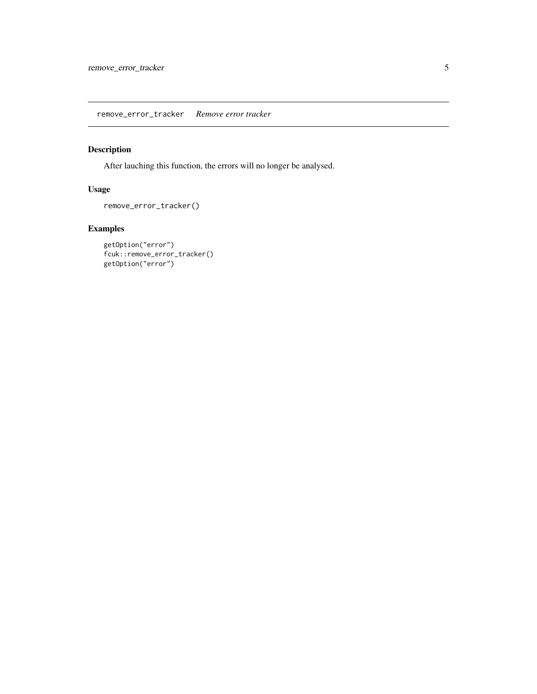<span id="page-4-0"></span>remove\_error\_tracker *Remove error tracker*

# Description

After lauching this function, the errors will no longer be analysed.

## Usage

```
remove_error_tracker()
```
# Examples

```
getOption("error")
fcuk::remove_error_tracker()
getOption("error")
```